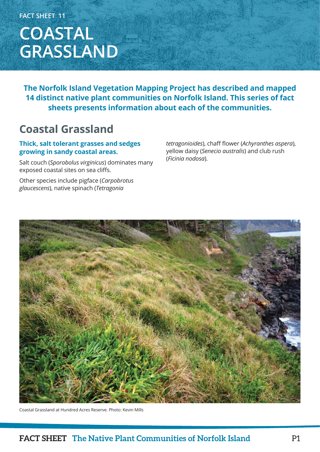**FACT SHEET 11**

# **COASTAL GRASSLAND**

**The Norfolk Island Vegetation Mapping Project has described and mapped 14 distinct native plant communities on Norfolk Island. This series of fact sheets presents information about each of the communities.**

### **Coastal Grassland**

### **Thick, salt tolerant grasses and sedges growing in sandy coastal areas.**

Salt couch (*Sporobolus virginicus*) dominates many exposed coastal sites on sea cliffs.

Other species include pigface (*Carpobrotus glaucescens*), native spinach (*Tetragonia* 

*tetragonioides*), chaff flower (*Achyranthes aspera*), yellow daisy (*Senecio australis*) and club rush (*Ficinia nodosa*).



Coastal Grassland at Hundred Acres Reserve. Photo: Kevin Mills